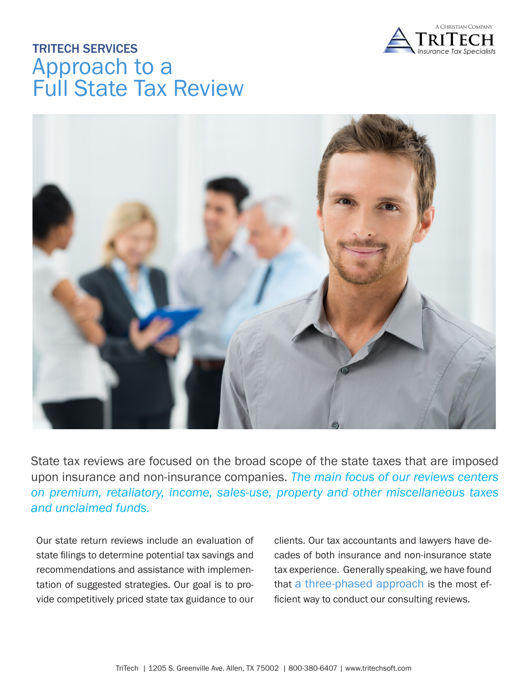

# TRITECH SERVICES Approach to a Full State Tax Review



State tax reviews are focused on the broad scope of the state taxes that are imposed upon insurance and non-insurance companies. *The main focus of our reviews centers on premium, retaliatory, income, sales-use, property and other miscellaneous taxes and unclaimed funds.* 

Our state return reviews include an evaluation of state filings to determine potential tax savings and recommendations and assistance with implementation of suggested strategies. Our goal is to provide competitively priced state tax guidance to our

clients. Our tax accountants and lawyers have decades of both insurance and non-insurance state tax experience. Generally speaking, we have found that a three-phased approach is the most efficient way to conduct our consulting reviews.